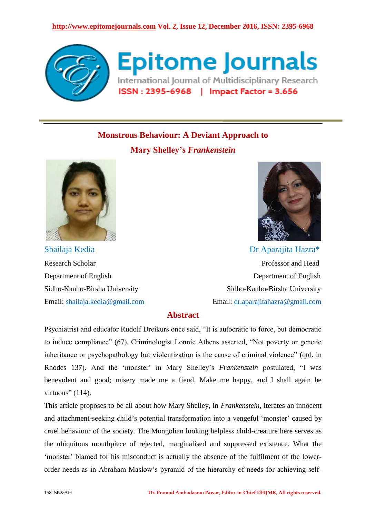#### **http://www.epitomejournals.com Vol. 2, Issue 12, December 2016, ISSN: 2395-6968**



**Epitome Journals** International Journal of Multidisciplinary Research ISSN: 2395-6968 | Impact Factor = 3.656

# **Monstrous Behaviour: A Deviant Approach to**

**Mary Shelley's** *Frankenstein*





Shailaja Kedia **Dr Aparajita Hazra\*** Research Scholar **Professor and Head** Department of English Department of English Sidho-Kanho-Birsha University Sidho-Kanho-Birsha University Email: [shailaja.kedia@gmail.com](mailto:shailaja.kedia@gmail.com) Email: [dr.aparajitahazra@gmail.com](mailto:dr.aparajitahazra@gmail.com)

## **Abstract**

Psychiatrist and educator Rudolf Dreikurs once said, "It is autocratic to force, but democratic to induce compliance" (67). Criminologist Lonnie Athens asserted, "Not poverty or genetic inheritance or psychopathology but violentization is the cause of criminal violence" (qtd. in Rhodes 137). And the "monster" in Mary Shelley"s *Frankenstein* postulated, "I was benevolent and good; misery made me a fiend. Make me happy, and I shall again be virtuous" (114).

This article proposes to be all about how Mary Shelley, in *Frankenstein,* iterates an innocent and attachment-seeking child's potential transformation into a vengeful 'monster' caused by cruel behaviour of the society. The Mongolian looking helpless child-creature here serves as the ubiquitous mouthpiece of rejected, marginalised and suppressed existence. What the 'monster' blamed for his misconduct is actually the absence of the fulfilment of the lowerorder needs as in Abraham Maslow"s pyramid of the hierarchy of needs for achieving self-